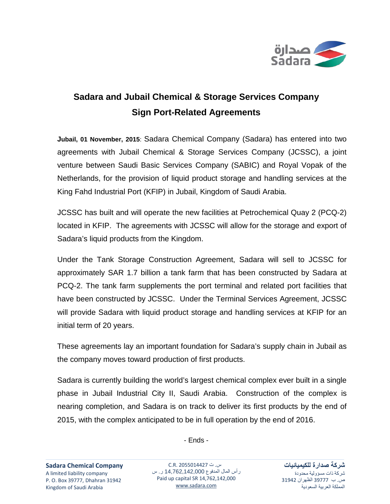

## **Sadara and Jubail Chemical & Storage Services Company Sign Port-Related Agreements**

**Jubail, 01 November, 2015**: Sadara Chemical Company (Sadara) has entered into two agreements with Jubail Chemical & Storage Services Company (JCSSC), a joint venture between Saudi Basic Services Company (SABIC) and Royal Vopak of the Netherlands, for the provision of liquid product storage and handling services at the King Fahd Industrial Port (KFIP) in Jubail, Kingdom of Saudi Arabia.

JCSSC has built and will operate the new facilities at Petrochemical Quay 2 (PCQ-2) located in KFIP. The agreements with JCSSC will allow for the storage and export of Sadara's liquid products from the Kingdom.

Under the Tank Storage Construction Agreement, Sadara will sell to JCSSC for approximately SAR 1.7 billion a tank farm that has been constructed by Sadara at PCQ-2. The tank farm supplements the port terminal and related port facilities that have been constructed by JCSSC. Under the Terminal Services Agreement, JCSSC will provide Sadara with liquid product storage and handling services at KFIP for an initial term of 20 years.

These agreements lay an important foundation for Sadara's supply chain in Jubail as the company moves toward production of first products.

Sadara is currently building the world's largest chemical complex ever built in a single phase in Jubail Industrial City II, Saudi Arabia. Construction of the complex is nearing completion, and Sadara is on track to deliver its first products by the end of 2015, with the complex anticipated to be in full operation by the end of 2016.

- Ends -

س. ت 2055014427 .R.C رأس المال المدفوع 14,762,142,000 ر. س Paid up capital SR 14,762,142,000 [www.sadara.com](http://www.sadara.com/)